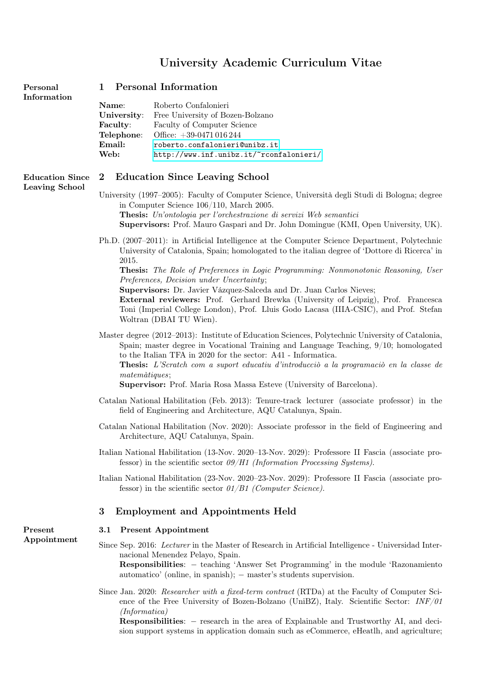# University Academic Curriculum Vitae

| Name:           | Roberto Confalonieri                    |
|-----------------|-----------------------------------------|
| University:     | Free University of Bozen-Bolzano        |
| <b>Faculty:</b> | Faculty of Computer Science             |
| Telephone:      | Office: $+39-0471016244$                |
| Email:          | roberto.confalonieri@unibz.it           |
| Web:            | http://www.inf.unibz.it/~rconfalonieri/ |
|                 |                                         |

## Personal 1 Personal Information Information

# Leaving School

# Education Since 2 Education Since Leaving School

University (1997–2005): Faculty of Computer Science, Università degli Studi di Bologna; degree in Computer Science 106/110, March 2005.

Thesis: Un'ontologia per l'orchestrazione di servizi Web semantici

Supervisors: Prof. Mauro Gaspari and Dr. John Domingue (KMI, Open University, UK).

Ph.D. (2007–2011): in Artificial Intelligence at the Computer Science Department, Polytechnic University of Catalonia, Spain; homologated to the italian degree of 'Dottore di Ricerca' in 2015.

Thesis: The Role of Preferences in Logic Programming: Nonmonotonic Reasoning, User Preferences, Decision under Uncertainty;

Supervisors: Dr. Javier Vázquez-Salceda and Dr. Juan Carlos Nieves;

External reviewers: Prof. Gerhard Brewka (University of Leipzig), Prof. Francesca Toni (Imperial College London), Prof. Lluis Godo Lacasa (IIIA-CSIC), and Prof. Stefan Woltran (DBAI TU Wien).

Master degree (2012–2013): Institute of Education Sciences, Polytechnic University of Catalonia, Spain; master degree in Vocational Training and Language Teaching, 9/10; homologated to the Italian TFA in 2020 for the sector: A41 - Informatica.

Thesis: L'Scratch com a suport educatiu d'introducciò a la programaciò en la classe de matemàtiques;

Supervisor: Prof. Maria Rosa Massa Esteve (University of Barcelona).

- Catalan National Habilitation (Feb. 2013): Tenure-track lecturer (associate professor) in the field of Engineering and Architecture, AQU Catalunya, Spain.
- Catalan National Habilitation (Nov. 2020): Associate professor in the field of Engineering and Architecture, AQU Catalunya, Spain.
- Italian National Habilitation (13-Nov. 2020–13-Nov. 2029): Professore II Fascia (associate professor) in the scientific sector  $09/H1$  (Information Processing Systems).

Italian National Habilitation (23-Nov. 2020–23-Nov. 2029): Professore II Fascia (associate professor) in the scientific sector  $01/B1$  (Computer Science).

#### 3 Employment and Appointments Held

#### Present 3.1 Present Appointment

Appointment Since Sep. 2016: Lecturer in the Master of Research in Artificial Intelligence - Universidad Internacional Menendez Pelayo, Spain.

> Responsibilities: − teaching 'Answer Set Programming' in the module 'Razonamiento automatico' (online, in spanish); − master's students supervision.

Since Jan. 2020: Researcher with a fixed-term contract (RTDa) at the Faculty of Computer Science of the Free University of Bozen-Bolzano (UniBZ), Italy. Scientific Sector: INF/01 (Informatica)

Responsibilities: − research in the area of Explainable and Trustworthy AI, and decision support systems in application domain such as eCommerce, eHeatlh, and agriculture;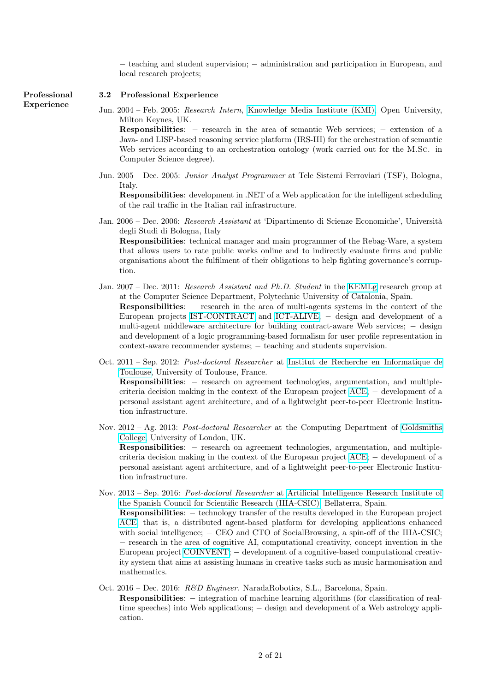− teaching and student supervision; − administration and participation in European, and local research projects;

#### Professional 3.2 Professional Experience

tion.

Experience Jun. 2004 – Feb. 2005: Research Intern, [Knowledge Media Institute \(KMI\),](http://kmi.open.ac.uk/) Open University, Milton Keynes, UK.

> Responsibilities: − research in the area of semantic Web services; − extension of a Java- and LISP-based reasoning service platform (IRS-III) for the orchestration of semantic Web services according to an orchestration ontology (work carried out for the M.Sc. in Computer Science degree).

Jun. 2005 – Dec. 2005: Junior Analyst Programmer at Tele Sistemi Ferroviari (TSF), Bologna, Italy.

Responsibilities: development in .NET of a Web application for the intelligent scheduling of the rail traffic in the Italian rail infrastructure.

- Jan. 2006 Dec. 2006: Research Assistant at 'Dipartimento di Scienze Economiche', Università degli Studi di Bologna, Italy Responsibilities: technical manager and main programmer of the Rebag-Ware, a system that allows users to rate public works online and to indirectly evaluate firms and public organisations about the fulfilment of their obligations to help fighting governance's corrup-
- Jan. 2007 Dec. 2011: Research Assistant and Ph.D. Student in the [KEMLg](https://kemlg.upc.edu/) research group at at the Computer Science Department, Polytechnic University of Catalonia, Spain. Responsibilities: − research in the area of multi-agents systems in the context of the European projects [IST-CONTRACT](http://ist-contract.sourceforge.net/index.html) and [ICT-ALIVE;](https://kemlg.upc.edu/en/projects/alive) − design and development of a multi-agent middleware architecture for building contract-aware Web services; − design and development of a logic programming-based formalism for user profile representation in context-aware recommender systems;  $-$  teaching and students supervision.
- Oct. 2011 Sep. 2012: Post-doctoral Researcher at [Institut de Recherche en Informatique de](https://www.irit.fr/en/departement/dep-artificial-intelligence/) [Toulouse,](https://www.irit.fr/en/departement/dep-artificial-intelligence/) University of Toulouse, France. Responsibilities: – research on agreement technologies, argumentation, and multiplecriteria decision making in the context of the European project [ACE;](https://www.iiia.csic.es/projects/autonomic-software-engineering-online-cultural-experiences) − development of a personal assistant agent architecture, and of a lightweight peer-to-peer Electronic Institution infrastructure.
- Nov. 2012 Ag. 2013: Post-doctoral Researcher at the Computing Department of [Goldsmiths](https://www.gold.ac.uk/computing/) [College,](https://www.gold.ac.uk/computing/) University of London, UK. Responsibilities: – research on agreement technologies, argumentation, and multiple-

criteria decision making in the context of the European project [ACE;](https://www.iiia.csic.es/projects/autonomic-software-engineering-online-cultural-experiences) − development of a personal assistant agent architecture, and of a lightweight peer-to-peer Electronic Institution infrastructure.

- Nov. 2013 Sep. 2016: Post-doctoral Researcher at [Artificial Intelligence Research Institute of](http://www.iiia.csic.es/)) [the Spanish Council for Scientific Research \(IIIA-CSIC\),](http://www.iiia.csic.es/)) Bellaterra, Spain. Responsibilities: − technology transfer of the results developed in the European project [ACE,](http://www.iiia.csic.es/en/project/ace) that is, a distributed agent-based platform for developing applications enhanced with social intelligence; – CEO and CTO of SocialBrowsing, a spin-off of the IIIA-CSIC; − research in the area of cognitive AI, computational creativity, concept invention in the European project [COINVENT;](https://www.coinvent.uni-osnabrueck.de) − development of a cognitive-based computational creativity system that aims at assisting humans in creative tasks such as music harmonisation and mathematics.
- Oct. 2016 Dec. 2016: R&D Engineer. NaradaRobotics, S.L., Barcelona, Spain. Responsibilities: − integration of machine learning algorithms (for classification of realtime speeches) into Web applications; − design and development of a Web astrology application.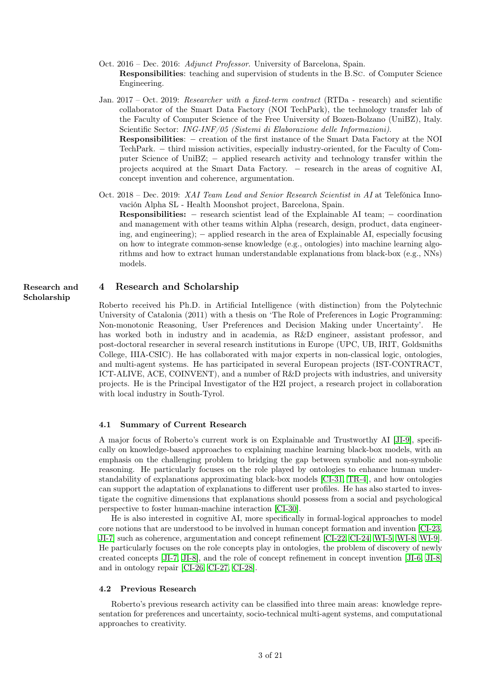- Oct. 2016 Dec. 2016: Adjunct Professor. University of Barcelona, Spain. Responsibilities: teaching and supervision of students in the B.Sc. of Computer Science Engineering.
- Jan. 2017 Oct. 2019: Researcher with a fixed-term contract (RTDa research) and scientific collaborator of the Smart Data Factory (NOI TechPark), the technology transfer lab of the Faculty of Computer Science of the Free University of Bozen-Bolzano (UniBZ), Italy. Scientific Sector: ING-INF/05 (Sistemi di Elaborazione delle Informazioni). Responsibilities: – creation of the first instance of the Smart Data Factory at the NOI TechPark. – third mission activities, especially industry-oriented, for the Faculty of Computer Science of UniBZ; – applied research activity and technology transfer within the projects acquired at the Smart Data Factory. – research in the areas of cognitive AI, concept invention and coherence, argumentation.
- Oct. 2018 Dec. 2019: XAI Team Lead and Senior Research Scientist in AI at Telefónica Innovación Alpha SL - Health Moonshot project, Barcelona, Spain. **Responsibilities:**  $-$  research scientist lead of the Explainable AI team;  $-$  coordination and management with other teams within Alpha (research, design, product, data engineering, and engineering); − applied research in the area of Explainable AI, especially focusing on how to integrate common-sense knowledge (e.g., ontologies) into machine learning algorithms and how to extract human understandable explanations from black-box (e.g., NNs) models.

#### Research and 4 Research and Scholarship

Scholarship

Roberto received his Ph.D. in Artificial Intelligence (with distinction) from the Polytechnic University of Catalonia (2011) with a thesis on 'The Role of Preferences in Logic Programming: Non-monotonic Reasoning, User Preferences and Decision Making under Uncertainty'. He has worked both in industry and in academia, as R&D engineer, assistant professor, and post-doctoral researcher in several research institutions in Europe (UPC, UB, IRIT, Goldsmiths College, IIIA-CSIC). He has collaborated with major experts in non-classical logic, ontologies, and multi-agent systems. He has participated in several European projects (IST-CONTRACT, ICT-ALIVE, ACE, COINVENT), and a number of R&D projects with industries, and university projects. He is the Principal Investigator of the H2I project, a research project in collaboration with local industry in South-Tyrol.

#### 4.1 Summary of Current Research

A major focus of Roberto's current work is on Explainable and Trustworthy AI [\[JI-9\]](#page-16-0), specifically on knowledge-based approaches to explaining machine learning black-box models, with an emphasis on the challenging problem to bridging the gap between symbolic and non-symbolic reasoning. He particularly focuses on the role played by ontologies to enhance human understandability of explanations approximating black-box models [\[CI-31,](#page-19-0) [TR-4\]](#page-20-0), and how ontologies can support the adaptation of explanations to different user profiles. He has also started to investigate the cognitive dimensions that explanations should possess from a social and psychological perspective to foster human-machine interaction [\[CI-30\]](#page-19-1).

He is also interested in cognitive AI, more specifically in formal-logical approaches to model core notions that are understood to be involved in human concept formation and invention [\[CI-23,](#page-18-0) [JI-7\]](#page-15-0) such as coherence, argumentation and concept refinement [\[CI-22,](#page-18-1) [CI-24,](#page-18-2) [WI-5,](#page-19-2) [WI-8,](#page-20-1) [WI-9\]](#page-20-2). He particularly focuses on the role concepts play in ontologies, the problem of discovery of newly created concepts [\[JI-7,](#page-15-0) [JI-8\]](#page-16-1), and the role of concept refinement in concept invention [\[JI-6,](#page-15-1) [JI-8\]](#page-16-1) and in ontology repair [\[CI-26,](#page-19-3) [CI-27,](#page-19-4) [CI-28\]](#page-19-5).

#### 4.2 Previous Research

Roberto's previous research activity can be classified into three main areas: knowledge representation for preferences and uncertainty, socio-technical multi-agent systems, and computational approaches to creativity.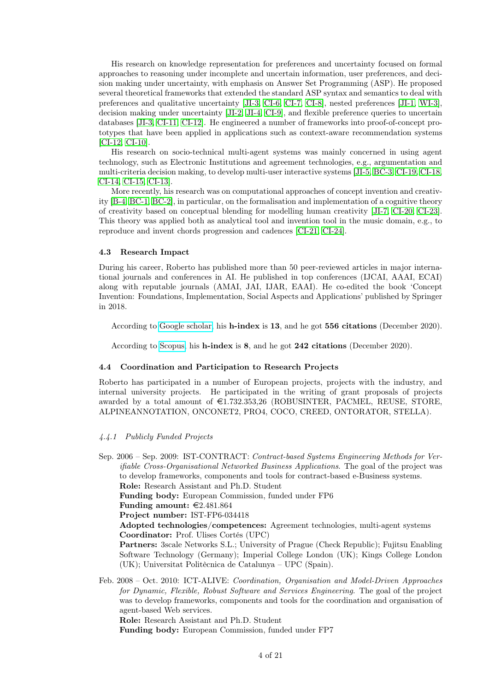His research on knowledge representation for preferences and uncertainty focused on formal approaches to reasoning under incomplete and uncertain information, user preferences, and decision making under uncertainty, with emphasis on Answer Set Programming (ASP). He proposed several theoretical frameworks that extended the standard ASP syntax and semantics to deal with preferences and qualitative uncertainty [\[JI-3,](#page-15-2) [CI-6,](#page-17-0) [CI-7,](#page-17-1) [CI-8\]](#page-17-2), nested preferences [\[JI-1,](#page-15-3) [WI-3\]](#page-19-6), decision making under uncertainty [\[JI-2,](#page-15-4) [JI-4,](#page-15-5) [CI-9\]](#page-17-3), and flexible preference queries to uncertain databases [\[JI-3,](#page-15-2) [CI-11,](#page-17-4) [CI-12\]](#page-17-5). He engineered a number of frameworks into proof-of-concept prototypes that have been applied in applications such as context-aware recommendation systems [\[CI-12,](#page-17-5) [CI-10\]](#page-17-6).

His research on socio-technical multi-agent systems was mainly concerned in using agent technology, such as Electronic Institutions and agreement technologies, e.g., argumentation and multi-criteria decision making, to develop multi-user interactive systems [\[JI-5,](#page-15-6) [BC-3,](#page-16-2) [CI-19,](#page-18-3) [CI-18,](#page-18-4) [CI-14,](#page-17-7) [CI-15,](#page-17-8) [CI-13\]](#page-17-9).

More recently, his research was on computational approaches of concept invention and creativity [\[B-4,](#page-15-7) [BC-1,](#page-16-3) [BC-2\]](#page-16-4), in particular, on the formalisation and implementation of a cognitive theory of creativity based on conceptual blending for modelling human creativity [\[JI-7,](#page-15-0) [CI-20,](#page-18-5) [CI-23\]](#page-18-0). This theory was applied both as analytical tool and invention tool in the music domain, e.g., to reproduce and invent chords progression and cadences [\[CI-21,](#page-18-6) [CI-24\]](#page-18-2).

#### 4.3 Research Impact

During his career, Roberto has published more than 50 peer-reviewed articles in major international journals and conferences in AI. He published in top conferences (IJCAI, AAAI, ECAI) along with reputable journals (AMAI, JAI, IJAR, EAAI). He co-edited the book 'Concept Invention: Foundations, Implementation, Social Aspects and Applications' published by Springer in 2018.

According to [Google scholar,](https://tinyurl.com/t9upog9) his h-index is 13, and he got 556 citations (December 2020).

According to [Scopus,](https://tinyurl.com/th3krth) his h-index is 8, and he got 242 citations (December 2020).

#### 4.4 Coordination and Participation to Research Projects

Roberto has participated in a number of European projects, projects with the industry, and internal university projects. He participated in the writing of grant proposals of projects awarded by a total amount of  $\epsilon$ 1.732.353,26 (ROBUSINTER, PACMEL, REUSE, STORE, ALPINEANNOTATION, ONCONET2, PRO4, COCO, CREED, ONTORATOR, STELLA).

#### 4.4.1 Publicly Funded Projects

Sep. 2006 – Sep. 2009: IST-CONTRACT: Contract-based Systems Engineering Methods for Verifiable Cross-Organisational Networked Business Applications. The goal of the project was to develop frameworks, components and tools for contract-based e-Business systems. Role: Research Assistant and Ph.D. Student

Funding body: European Commission, funded under FP6

Funding amount:  $\text{\textsterling}2.481.864$ 

Project number: IST-FP6-034418

Adopted technologies/competences: Agreement technologies, multi-agent systems Coordinator: Prof. Ulises Cortés (UPC)

Partners: 3scale Networks S.L.; University of Prague (Check Republic); Fujitsu Enabling Software Technology (Germany); Imperial College London (UK); Kings College London (UK); Universitat Politècnica de Catalunya – UPC (Spain).

Feb. 2008 – Oct. 2010: ICT-ALIVE: Coordination, Organisation and Model-Driven Approaches for Dynamic, Flexible, Robust Software and Services Engineering. The goal of the project was to develop frameworks, components and tools for the coordination and organisation of agent-based Web services.

Role: Research Assistant and Ph.D. Student

Funding body: European Commission, funded under FP7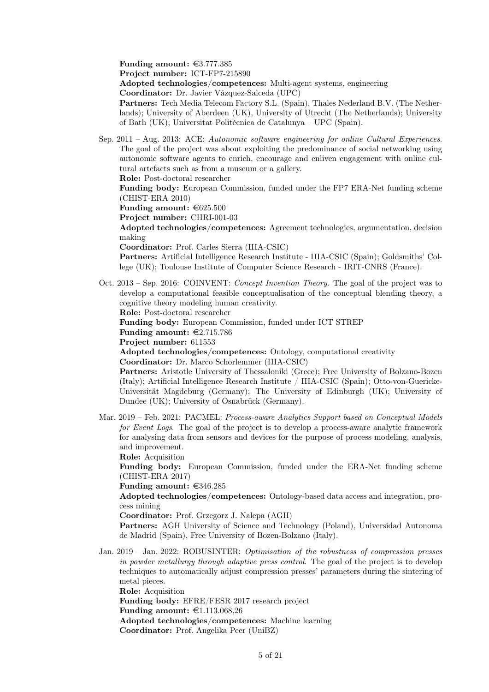Funding amount:  $\epsilon$ 3.777.385

Project number: ICT-FP7-215890

Adopted technologies/competences: Multi-agent systems, engineering

Coordinator: Dr. Javier Vázquez-Salceda (UPC)

Partners: Tech Media Telecom Factory S.L. (Spain), Thales Nederland B.V. (The Netherlands); University of Aberdeen (UK), University of Utrecht (The Netherlands); University of Bath (UK); Universitat Politècnica de Catalunya – UPC (Spain).

Sep. 2011 – Aug. 2013: ACE: Autonomic software engineering for online Cultural Experiences. The goal of the project was about exploiting the predominance of social networking using autonomic software agents to enrich, encourage and enliven engagement with online cultural artefacts such as from a museum or a gallery.

Role: Post-doctoral researcher

Funding body: European Commission, funded under the FP7 ERA-Net funding scheme (CHIST-ERA 2010)

Funding amount:  $\epsilon$ 625.500

Project number: CHRI-001-03

Adopted technologies/competences: Agreement technologies, argumentation, decision making

Coordinator: Prof. Carles Sierra (IIIA-CSIC)

Partners: Artificial Intelligence Research Institute - IIIA-CSIC (Spain); Goldsmiths' College (UK); Toulouse Institute of Computer Science Research - IRIT-CNRS (France).

Oct. 2013 – Sep. 2016: COINVENT: Concept Invention Theory. The goal of the project was to develop a computational feasible conceptualisation of the conceptual blending theory, a cognitive theory modeling human creativity.

Role: Post-doctoral researcher

Funding body: European Commission, funded under ICT STREP

Funding amount:  $\epsilon$ 2.715.786

Project number: 611553

Adopted technologies/competences: Ontology, computational creativity

Coordinator: Dr. Marco Schorlemmer (IIIA-CSIC)

Partners: Aristotle University of Thessaloniki (Grece); Free University of Bolzano-Bozen (Italy); Artificial Intelligence Research Institute / IIIA-CSIC (Spain); Otto-von-Guericke-Universität Magdeburg (Germany); The University of Edinburgh (UK); University of Dundee (UK); University of Osnabrück (Germany).

Mar. 2019 – Feb. 2021: PACMEL: Process-aware Analytics Support based on Conceptual Models for Event Logs. The goal of the project is to develop a process-aware analytic framework for analysing data from sensors and devices for the purpose of process modeling, analysis, and improvement.

Role: Acquisition

Funding body: European Commission, funded under the ERA-Net funding scheme (CHIST-ERA 2017)

Funding amount:  $\epsilon$ 346.285

Adopted technologies/competences: Ontology-based data access and integration, process mining

Coordinator: Prof. Grzegorz J. Nalepa (AGH)

Partners: AGH University of Science and Technology (Poland), Universidad Autonoma de Madrid (Spain), Free University of Bozen-Bolzano (Italy).

Jan. 2019 – Jan. 2022: ROBUSINTER: Optimisation of the robustness of compression presses in powder metallurgy through adaptive press control. The goal of the project is to develop techniques to automatically adjust compression presses' parameters during the sintering of metal pieces.

Role: Acquisition

Funding body: EFRE/FESR 2017 research project

Funding amount:  $\text{\textsterling}1.113.068,26$ 

Adopted technologies/competences: Machine learning

Coordinator: Prof. Angelika Peer (UniBZ)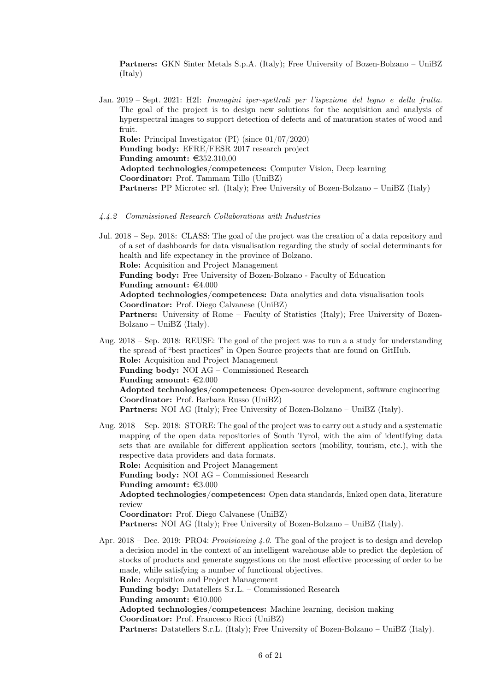Partners: GKN Sinter Metals S.p.A. (Italy); Free University of Bozen-Bolzano – UniBZ (Italy)

Jan. 2019 – Sept. 2021: H2I: Immagini iper-spettrali per l'ispezione del legno e della frutta. The goal of the project is to design new solutions for the acquisition and analysis of hyperspectral images to support detection of defects and of maturation states of wood and fruit. Role: Principal Investigator (PI) (since 01/07/2020) Funding body: EFRE/FESR 2017 research project Funding amount:  $\text{\textsterling}352.310,00$ Adopted technologies/competences: Computer Vision, Deep learning Coordinator: Prof. Tammam Tillo (UniBZ) Partners: PP Microtec srl. (Italy); Free University of Bozen-Bolzano – UniBZ (Italy)

4.4.2 Commissioned Research Collaborations with Industries

Jul. 2018 – Sep. 2018: CLASS: The goal of the project was the creation of a data repository and of a set of dashboards for data visualisation regarding the study of social determinants for health and life expectancy in the province of Bolzano. Role: Acquisition and Project Management Funding body: Free University of Bozen-Bolzano - Faculty of Education Funding amount:  $\epsilon$ 4.000 Adopted technologies/competences: Data analytics and data visualisation tools Coordinator: Prof. Diego Calvanese (UniBZ) Partners: University of Rome – Faculty of Statistics (Italy); Free University of Bozen-Bolzano – UniBZ (Italy).

Aug. 2018 – Sep. 2018: REUSE: The goal of the project was to run a a study for understanding the spread of "best practices" in Open Source projects that are found on GitHub. Role: Acquisition and Project Management Funding body: NOI AG – Commissioned Research Funding amount:  $\epsilon 2.000$ Adopted technologies/competences: Open-source development, software engineering Coordinator: Prof. Barbara Russo (UniBZ) Partners: NOI AG (Italy); Free University of Bozen-Bolzano – UniBZ (Italy).

- Aug. 2018 Sep. 2018: STORE: The goal of the project was to carry out a study and a systematic mapping of the open data repositories of South Tyrol, with the aim of identifying data sets that are available for different application sectors (mobility, tourism, etc.), with the respective data providers and data formats. Role: Acquisition and Project Management Funding body: NOI AG – Commissioned Research Funding amount:  $\epsilon$ 3.000 Adopted technologies/competences: Open data standards, linked open data, literature review Coordinator: Prof. Diego Calvanese (UniBZ) Partners: NOI AG (Italy); Free University of Bozen-Bolzano – UniBZ (Italy).
- Apr. 2018 Dec. 2019: PRO4: *Provisioning 4.0*. The goal of the project is to design and develop a decision model in the context of an intelligent warehouse able to predict the depletion of stocks of products and generate suggestions on the most effective processing of order to be made, while satisfying a number of functional objectives. Role: Acquisition and Project Management Funding body: Datatellers S.r.L. – Commissioned Research Funding amount:  $\text{\textsterling}10.000$ Adopted technologies/competences: Machine learning, decision making Coordinator: Prof. Francesco Ricci (UniBZ) Partners: Datatellers S.r.L. (Italy); Free University of Bozen-Bolzano – UniBZ (Italy).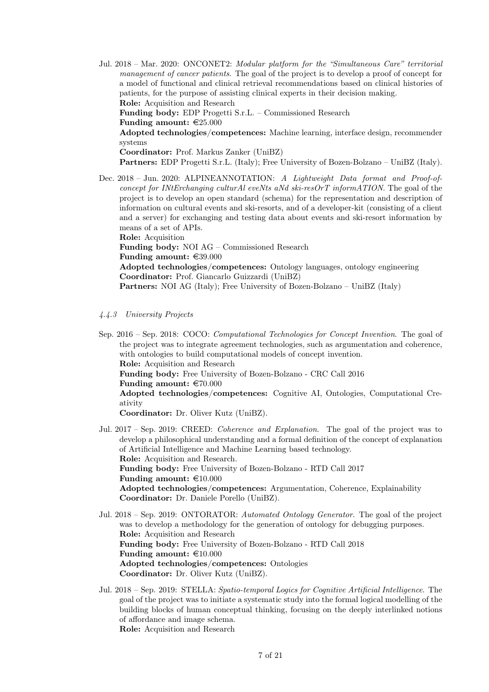Jul. 2018 – Mar. 2020: ONCONET2: Modular platform for the "Simultaneous Care" territorial management of cancer patients. The goal of the project is to develop a proof of concept for a model of functional and clinical retrieval recommendations based on clinical histories of patients, for the purpose of assisting clinical experts in their decision making. Role: Acquisition and Research Funding body: EDP Progetti S.r.L. – Commissioned Research Funding amount:  $\epsilon$ 25.000 Adopted technologies/competences: Machine learning, interface design, recommender systems Coordinator: Prof. Markus Zanker (UniBZ) Partners: EDP Progetti S.r.L. (Italy); Free University of Bozen-Bolzano – UniBZ (Italy).

Dec. 2018 – Jun. 2020: ALPINEANNOTATION: A Lightweight Data format and Proof-ofconcept for INtErchanging culturAl eveNts aNd ski-resOrT informATION. The goal of the project is to develop an open standard (schema) for the representation and description of information on cultural events and ski-resorts, and of a developer-kit (consisting of a client and a server) for exchanging and testing data about events and ski-resort information by

means of a set of APIs. Role: Acquisition

Funding body: NOI AG – Commissioned Research

Funding amount:  $\epsilon$ 39.000

Adopted technologies/competences: Ontology languages, ontology engineering Coordinator: Prof. Giancarlo Guizzardi (UniBZ)

Partners: NOI AG (Italy); Free University of Bozen-Bolzano – UniBZ (Italy)

### 4.4.3 University Projects

Sep. 2016 – Sep. 2018: COCO: Computational Technologies for Concept Invention. The goal of the project was to integrate agreement technologies, such as argumentation and coherence, with ontologies to build computational models of concept invention. Role: Acquisition and Research Funding body: Free University of Bozen-Bolzano - CRC Call 2016 Funding amount:  $\epsilon$ 70.000 Adopted technologies/competences: Cognitive AI, Ontologies, Computational Creativity Coordinator: Dr. Oliver Kutz (UniBZ).

Jul. 2017 – Sep. 2019: CREED: Coherence and Explanation. The goal of the project was to develop a philosophical understanding and a formal definition of the concept of explanation of Artificial Intelligence and Machine Learning based technology. Role: Acquisition and Research. Funding body: Free University of Bozen-Bolzano - RTD Call 2017 Funding amount:  $\text{\large\ensuremath{\in}} 10.000$ Adopted technologies/competences: Argumentation, Coherence, Explainability Coordinator: Dr. Daniele Porello (UniBZ).

- Jul. 2018 Sep. 2019: ONTORATOR: Automated Ontology Generator. The goal of the project was to develop a methodology for the generation of ontology for debugging purposes. Role: Acquisition and Research Funding body: Free University of Bozen-Bolzano - RTD Call 2018 Funding amount:  $\text{\textsterling}10.000$ Adopted technologies/competences: Ontologies Coordinator: Dr. Oliver Kutz (UniBZ).
- Jul. 2018 Sep. 2019: STELLA: Spatio-temporal Logics for Cognitive Artificial Intelligence. The goal of the project was to initiate a systematic study into the formal logical modelling of the building blocks of human conceptual thinking, focusing on the deeply interlinked notions of affordance and image schema. Role: Acquisition and Research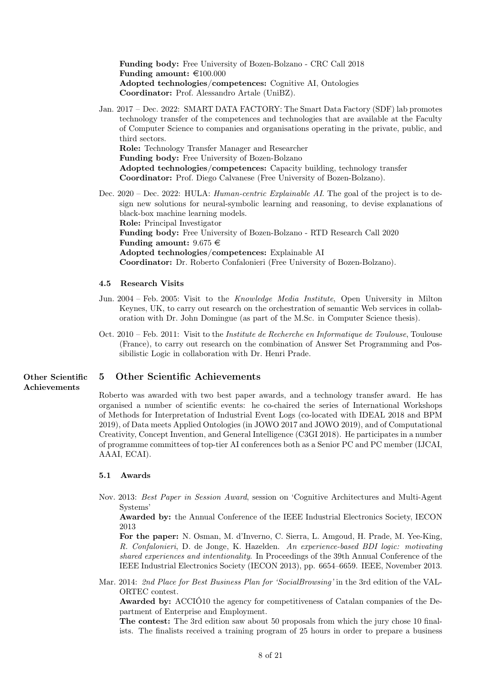Funding body: Free University of Bozen-Bolzano - CRC Call 2018 Funding amount:  $\text{\textsterling}100.000$ Adopted technologies/competences: Cognitive AI, Ontologies Coordinator: Prof. Alessandro Artale (UniBZ).

- Jan. 2017 Dec. 2022: SMART DATA FACTORY: The Smart Data Factory (SDF) lab promotes technology transfer of the competences and technologies that are available at the Faculty of Computer Science to companies and organisations operating in the private, public, and third sectors. Role: Technology Transfer Manager and Researcher Funding body: Free University of Bozen-Bolzano Adopted technologies/competences: Capacity building, technology transfer Coordinator: Prof. Diego Calvanese (Free University of Bozen-Bolzano).
- Dec. 2020 Dec. 2022: HULA: Human-centric Explainable AI. The goal of the project is to design new solutions for neural-symbolic learning and reasoning, to devise explanations of black-box machine learning models. Role: Principal Investigator Funding body: Free University of Bozen-Bolzano - RTD Research Call 2020 Funding amount:  $9.675 \in$ Adopted technologies/competences: Explainable AI Coordinator: Dr. Roberto Confalonieri (Free University of Bozen-Bolzano).

#### 4.5 Research Visits

- Jun. 2004 Feb. 2005: Visit to the Knowledge Media Institute, Open University in Milton Keynes, UK, to carry out research on the orchestration of semantic Web services in collaboration with Dr. John Domingue (as part of the M.Sc. in Computer Science thesis).
- Oct. 2010 Feb. 2011: Visit to the Institute de Recherche en Informatique de Toulouse, Toulouse (France), to carry out research on the combination of Answer Set Programming and Possibilistic Logic in collaboration with Dr. Henri Prade.

# Achievements

#### Other Scientific 5 Other Scientific Achievements

Roberto was awarded with two best paper awards, and a technology transfer award. He has organised a number of scientific events: he co-chaired the series of International Workshops of Methods for Interpretation of Industrial Event Logs (co-located with IDEAL 2018 and BPM 2019), of Data meets Applied Ontologies (in JOWO 2017 and JOWO 2019), and of Computational Creativity, Concept Invention, and General Intelligence (C3GI 2018). He participates in a number of programme committees of top-tier AI conferences both as a Senior PC and PC member (IJCAI, AAAI, ECAI).

#### 5.1 Awards

Nov. 2013: Best Paper in Session Award, session on 'Cognitive Architectures and Multi-Agent Systems'

Awarded by: the Annual Conference of the IEEE Industrial Electronics Society, IECON 2013

For the paper: N. Osman, M. d'Inverno, C. Sierra, L. Amgoud, H. Prade, M. Yee-King, R. Confalonieri, D. de Jonge, K. Hazelden. An experience-based BDI logic: motivating shared experiences and intentionality. In Proceedings of the 39th Annual Conference of the IEEE Industrial Electronics Society (IECON 2013), pp. 6654–6659. IEEE, November 2013.

Mar. 2014: 2nd Place for Best Business Plan for 'SocialBrowsing' in the 3rd edition of the VAL-ORTEC contest.

Awarded by: ACCIÓ10 the agency for competitiveness of Catalan companies of the Department of Enterprise and Employment.

The contest: The 3rd edition saw about 50 proposals from which the jury chose 10 finalists. The finalists received a training program of 25 hours in order to prepare a business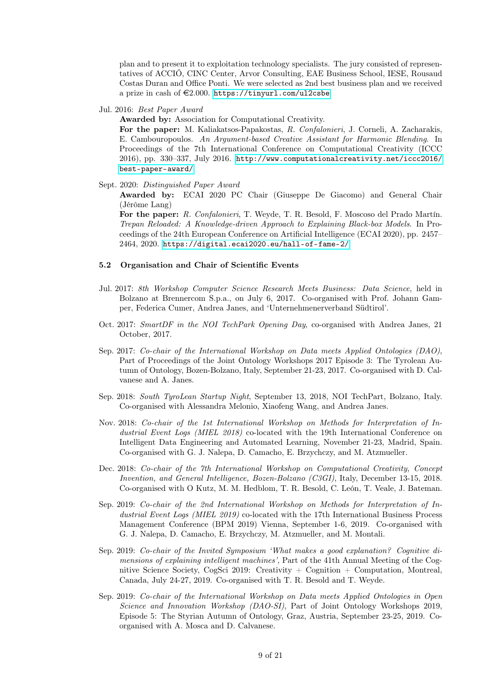plan and to present it to exploitation technology specialists. The jury consisted of representatives of ACCIÓ, CINC Center, Arvor Consulting, EAE Business School, IESE, Rousaud Costas Duran and Office Ponti. We were selected as 2nd best business plan and we received a prize in cash of  $\text{\textsterling}2.000$ . <https://tinyurl.com/ul2csbe>

Jul. 2016: Best Paper Award

Awarded by: Association for Computational Creativity.

For the paper: M. Kaliakatsos-Papakostas, R. Confalonieri, J. Corneli, A. Zacharakis, E. Cambouropoulos. An Argument-based Creative Assistant for Harmonic Blending. In Proceedings of the 7th International Conference on Computational Creativity (ICCC 2016), pp. 330–337, July 2016. [http://www.computationalcreativity.net/iccc2016/](http://www.computationalcreativity.net/iccc2016/best-paper-award/) [best-paper-award/](http://www.computationalcreativity.net/iccc2016/best-paper-award/)

Sept. 2020: Distinguished Paper Award

Awarded by: ECAI 2020 PC Chair (Giuseppe De Giacomo) and General Chair (Jérôme Lang)

For the paper: R. Confalonieri, T. Weyde, T. R. Besold, F. Moscoso del Prado Martín. Trepan Reloaded: A Knowledge-driven Approach to Explaining Black-box Models. In Proceedings of the 24th European Conference on Artificial Intelligence (ECAI 2020), pp. 2457– 2464, 2020. <https://digital.ecai2020.eu/hall-of-fame-2/>

#### 5.2 Organisation and Chair of Scientific Events

- Jul. 2017: 8th Workshop Computer Science Research Meets Business: Data Science, held in Bolzano at Brennercom S.p.a., on July 6, 2017. Co-organised with Prof. Johann Gamper, Federica Cumer, Andrea Janes, and 'Unternehmenerverband Südtirol'.
- Oct. 2017: SmartDF in the NOI TechPark Opening Day, co-organised with Andrea Janes, 21 October, 2017.
- Sep. 2017: Co-chair of the International Workshop on Data meets Applied Ontologies (DAO), Part of Proceedings of the Joint Ontology Workshops 2017 Episode 3: The Tyrolean Autumn of Ontology, Bozen-Bolzano, Italy, September 21-23, 2017. Co-organised with D. Calvanese and A. Janes.
- Sep. 2018: South TyroLean Startup Night, September 13, 2018, NOI TechPart, Bolzano, Italy. Co-organised with Alessandra Melonio, Xiaofeng Wang, and Andrea Janes.
- Nov. 2018: Co-chair of the 1st International Workshop on Methods for Interpretation of Industrial Event Logs (MIEL 2018) co-located with the 19th International Conference on Intelligent Data Engineering and Automated Learning, November 21-23, Madrid, Spain. Co-organised with G. J. Nalepa, D. Camacho, E. Brzychczy, and M. Atzmueller.
- Dec. 2018: Co-chair of the 7th International Workshop on Computational Creativity, Concept Invention, and General Intelligence, Bozen-Bolzano (C3GI), Italy, December 13-15, 2018. Co-organised with O Kutz, M. M. Hedblom, T. R. Besold, C. León, T. Veale, J. Bateman.
- Sep. 2019: Co-chair of the 2nd International Workshop on Methods for Interpretation of Industrial Event Logs (MIEL 2019) co-located with the 17th International Business Process Management Conference (BPM 2019) Vienna, September 1-6, 2019. Co-organised with G. J. Nalepa, D. Camacho, E. Brzychczy, M. Atzmueller, and M. Montali.
- Sep. 2019: Co-chair of the Invited Symposium 'What makes a good explanation? Cognitive dimensions of explaining intelligent machines', Part of the 41th Annual Meeting of the Cognitive Science Society, CogSci 2019: Creativity + Cognition + Computation, Montreal, Canada, July 24-27, 2019. Co-organised with T. R. Besold and T. Weyde.
- Sep. 2019: Co-chair of the International Workshop on Data meets Applied Ontologies in Open Science and Innovation Workshop (DAO-SI), Part of Joint Ontology Workshops 2019, Episode 5: The Styrian Autumn of Ontology, Graz, Austria, September 23-25, 2019. Coorganised with A. Mosca and D. Calvanese.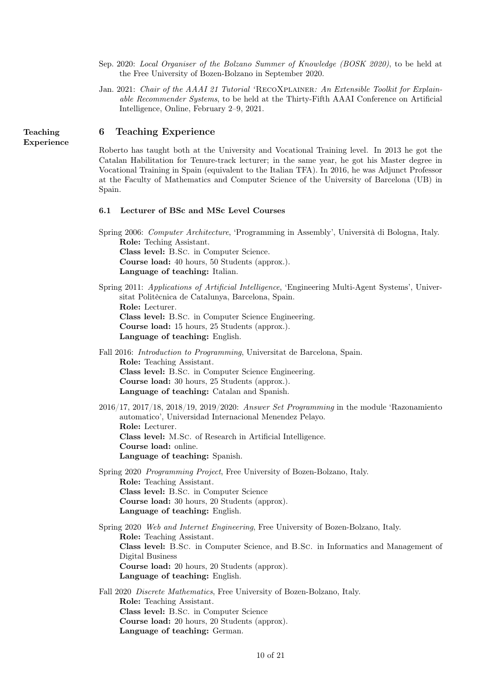- Sep. 2020: Local Organiser of the Bolzano Summer of Knowledge (BOSK 2020), to be held at the Free University of Bozen-Bolzano in September 2020.
- Jan. 2021: Chair of the AAAI 21 Tutorial 'RECOXPLAINER: An Extensible Toolkit for Explainable Recommender Systems, to be held at the Thirty-Fifth AAAI Conference on Artificial Intelligence, Online, February 2–9, 2021.

## Teaching 6 Teaching Experience

Roberto has taught both at the University and Vocational Training level. In 2013 he got the Catalan Habilitation for Tenure-track lecturer; in the same year, he got his Master degree in Vocational Training in Spain (equivalent to the Italian TFA). In 2016, he was Adjunct Professor at the Faculty of Mathematics and Computer Science of the University of Barcelona (UB) in Spain.

#### 6.1 Lecturer of BSc and MSc Level Courses

Spring 2006: Computer Architecture, 'Programming in Assembly', Università di Bologna, Italy. Role: Teching Assistant. Class level: B.Sc. in Computer Science. Course load: 40 hours, 50 Students (approx.). Language of teaching: Italian.

- Spring 2011: Applications of Artificial Intelligence, 'Engineering Multi-Agent Systems', Universitat Politècnica de Catalunya, Barcelona, Spain. Role: Lecturer. Class level: B.Sc. in Computer Science Engineering. Course load: 15 hours, 25 Students (approx.). Language of teaching: English.
- Fall 2016: Introduction to Programming, Universitat de Barcelona, Spain. Role: Teaching Assistant. Class level: B.Sc. in Computer Science Engineering. Course load: 30 hours, 25 Students (approx.). Language of teaching: Catalan and Spanish.
- 2016/17, 2017/18, 2018/19, 2019/2020: Answer Set Programming in the module 'Razonamiento automatico', Universidad Internacional Menendez Pelayo. Role: Lecturer. Class level: M.Sc. of Research in Artificial Intelligence. Course load: online. Language of teaching: Spanish.
- Spring 2020 Programming Project, Free University of Bozen-Bolzano, Italy. Role: Teaching Assistant. Class level: B.Sc. in Computer Science Course load: 30 hours, 20 Students (approx). Language of teaching: English.

Spring 2020 Web and Internet Engineering, Free University of Bozen-Bolzano, Italy. Role: Teaching Assistant. Class level: B.Sc. in Computer Science, and B.Sc. in Informatics and Management of Digital Business Course load: 20 hours, 20 Students (approx). Language of teaching: English.

Fall 2020 Discrete Mathematics, Free University of Bozen-Bolzano, Italy. Role: Teaching Assistant. Class level: B.Sc. in Computer Science Course load: 20 hours, 20 Students (approx). Language of teaching: German.

Experience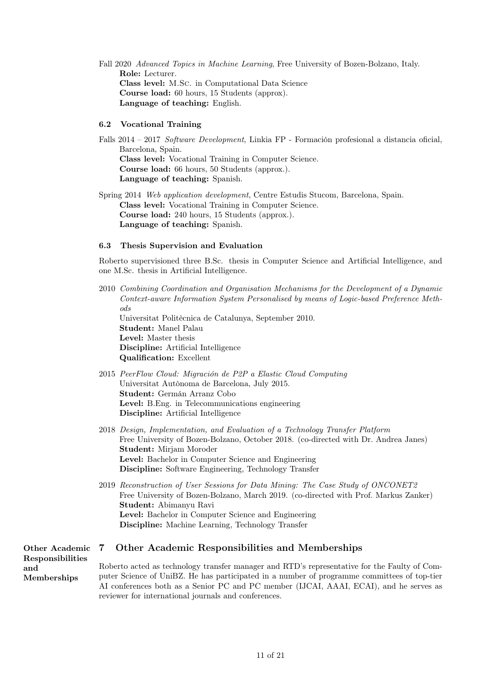Fall 2020 Advanced Topics in Machine Learning, Free University of Bozen-Bolzano, Italy. Role: Lecturer. Class level: M.Sc. in Computational Data Science Course load: 60 hours, 15 Students (approx). Language of teaching: English.

#### 6.2 Vocational Training

Falls 2014 – 2017 Software Development, Linkia FP - Formación profesional a distancia oficial, Barcelona, Spain. Class level: Vocational Training in Computer Science. Course load: 66 hours, 50 Students (approx.). Language of teaching: Spanish.

Spring 2014 Web application development, Centre Estudis Stucom, Barcelona, Spain. Class level: Vocational Training in Computer Science. Course load: 240 hours, 15 Students (approx.). Language of teaching: Spanish.

#### 6.3 Thesis Supervision and Evaluation

Roberto supervisioned three B.Sc. thesis in Computer Science and Artificial Intelligence, and one M.Sc. thesis in Artificial Intelligence.

- 2010 Combining Coordination and Organisation Mechanisms for the Development of a Dynamic Context-aware Information System Personalised by means of Logic-based Preference Methods Universitat Politècnica de Catalunya, September 2010. Student: Manel Palau Level: Master thesis Discipline: Artificial Intelligence Qualification: Excellent
- 2015 PeerFlow Cloud: Migración de P2P a Elastic Cloud Computing Universitat Autònoma de Barcelona, July 2015. Student: Germán Arranz Cobo Level: B.Eng. in Telecommunications engineering Discipline: Artificial Intelligence
- 2018 Design, Implementation, and Evaluation of a Technology Transfer Platform Free University of Bozen-Bolzano, October 2018. (co-directed with Dr. Andrea Janes) Student: Mirjam Moroder Level: Bachelor in Computer Science and Engineering Discipline: Software Engineering, Technology Transfer
- 2019 Reconstruction of User Sessions for Data Mining: The Case Study of ONCONET2 Free University of Bozen-Bolzano, March 2019. (co-directed with Prof. Markus Zanker) Student: Abimanyu Ravi Level: Bachelor in Computer Science and Engineering Discipline: Machine Learning, Technology Transfer

#### Other Academic 7 Other Academic Responsibilities and Memberships

Responsibilities and Memberships

Roberto acted as technology transfer manager and RTD's representative for the Faulty of Computer Science of UniBZ. He has participated in a number of programme committees of top-tier AI conferences both as a Senior PC and PC member (IJCAI, AAAI, ECAI), and he serves as reviewer for international journals and conferences.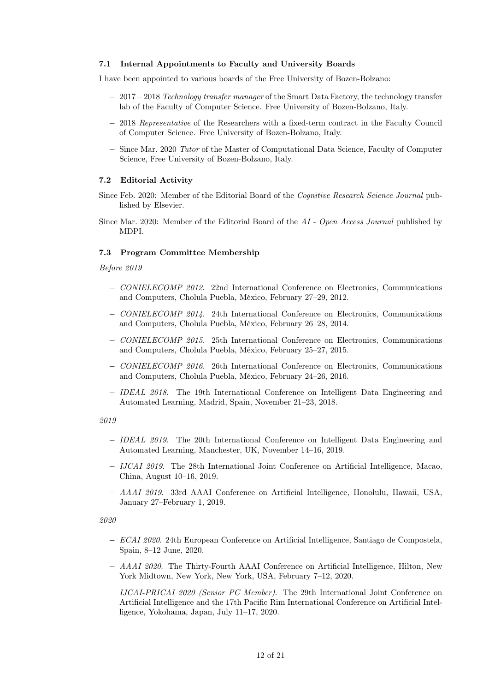#### 7.1 Internal Appointments to Faculty and University Boards

I have been appointed to various boards of the Free University of Bozen-Bolzano:

- − 2017 2018 Technology transfer manager of the Smart Data Factory, the technology transfer lab of the Faculty of Computer Science. Free University of Bozen-Bolzano, Italy.
- − 2018 Representative of the Researchers with a fixed-term contract in the Faculty Council of Computer Science. Free University of Bozen-Bolzano, Italy.
- − Since Mar. 2020 Tutor of the Master of Computational Data Science, Faculty of Computer Science, Free University of Bozen-Bolzano, Italy.

#### 7.2 Editorial Activity

- Since Feb. 2020: Member of the Editorial Board of the Cognitive Research Science Journal published by Elsevier.
- Since Mar. 2020: Member of the Editorial Board of the AI Open Access Journal published by MDPI.

#### 7.3 Program Committee Membership

Before 2019

- − CONIELECOMP 2012. 22nd International Conference on Electronics, Communications and Computers, Cholula Puebla, México, February 27–29, 2012.
- − CONIELECOMP 2014. 24th International Conference on Electronics, Communications and Computers, Cholula Puebla, México, February 26–28, 2014.
- − CONIELECOMP 2015. 25th International Conference on Electronics, Communications and Computers, Cholula Puebla, México, February 25–27, 2015.
- − CONIELECOMP 2016. 26th International Conference on Electronics, Communications and Computers, Cholula Puebla, México, February 24–26, 2016.
- − IDEAL 2018. The 19th International Conference on Intelligent Data Engineering and Automated Learning, Madrid, Spain, November 21–23, 2018.

#### 2019

- − IDEAL 2019. The 20th International Conference on Intelligent Data Engineering and Automated Learning, Manchester, UK, November 14–16, 2019.
- − IJCAI 2019. The 28th International Joint Conference on Artificial Intelligence, Macao, China, August 10–16, 2019.
- − AAAI 2019. 33rd AAAI Conference on Artificial Intelligence, Honolulu, Hawaii, USA, January 27–February 1, 2019.

2020

- − ECAI 2020. 24th European Conference on Artificial Intelligence, Santiago de Compostela, Spain, 8–12 June, 2020.
- − AAAI 2020. The Thirty-Fourth AAAI Conference on Artificial Intelligence, Hilton, New York Midtown, New York, New York, USA, February 7–12, 2020.
- − IJCAI-PRICAI 2020 (Senior PC Member). The 29th International Joint Conference on Artificial Intelligence and the 17th Pacific Rim International Conference on Artificial Intelligence, Yokohama, Japan, July 11–17, 2020.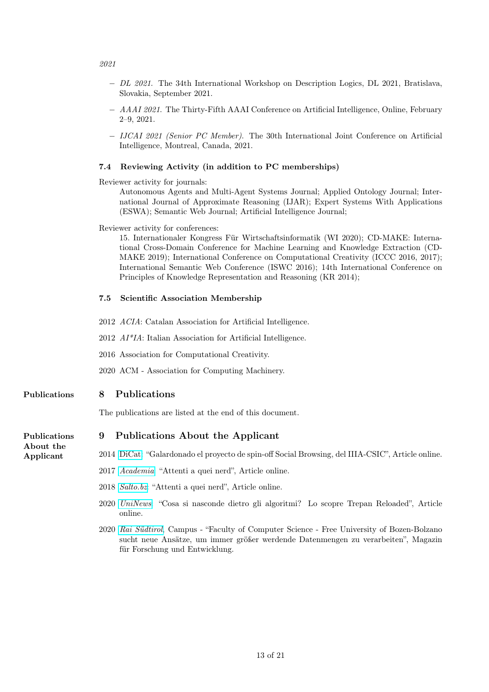- 2021
	- − DL 2021. The 34th International Workshop on Description Logics, DL 2021, Bratislava, Slovakia, September 2021.
	- − AAAI 2021. The Thirty-Fifth AAAI Conference on Artificial Intelligence, Online, February 2–9, 2021.
	- − IJCAI 2021 (Senior PC Member). The 30th International Joint Conference on Artificial Intelligence, Montreal, Canada, 2021.

#### 7.4 Reviewing Activity (in addition to PC memberships)

Reviewer activity for journals:

Autonomous Agents and Multi-Agent Systems Journal; Applied Ontology Journal; International Journal of Approximate Reasoning (IJAR); Expert Systems With Applications (ESWA); Semantic Web Journal; Artificial Intelligence Journal;

#### Reviewer activity for conferences:

15. Internationaler Kongress Für Wirtschaftsinformatik (WI 2020); CD-MAKE: International Cross-Domain Conference for Machine Learning and Knowledge Extraction (CD-MAKE 2019); International Conference on Computational Creativity (ICCC 2016, 2017); International Semantic Web Conference (ISWC 2016); 14th International Conference on Principles of Knowledge Representation and Reasoning (KR 2014);

#### 7.5 Scientific Association Membership

- 2012 ACIA: Catalan Association for Artificial Intelligence.
- 2012 AI\*IA: Italian Association for Artificial Intelligence.
- 2016 Association for Computational Creativity.
- 2020 ACM Association for Computing Machinery.

#### Publications 8 Publications

The publications are listed at the end of this document.

#### Publications 9 Publications About the Applicant

About the

- Applicant 2014 [DiCat:](https://tinyurl.com/ul2csbe) "Galardonado el proyecto de spin-off Social Browsing, del IIIA-CSIC", Article online.
	- 2017 [Academia](http://www.academia.bz.it/articles/attenti-a-quei-nerd): "Attenti a quei nerd", Article online.
	- 2018 [Salto.bz](https://www.salto.bz/de/article/22122017/attenti-quei-nerd): "Attenti a quei nerd", Article online.
	- 2020 [UniNews](https://www.unibz.it/en/news/136069): "Cosa si nasconde dietro gli algoritmi? Lo scopre Trepan Reloaded", Article online.
	- 2020 [Rai Südtirol](https://infojuice.media/permalink/ncPFLCO?show=23940356), Campus "Faculty of Computer Science Free University of Bozen-Bolzano sucht neue Ansätze, um immer größer werdende Datenmengen zu verarbeiten", Magazin für Forschung und Entwicklung.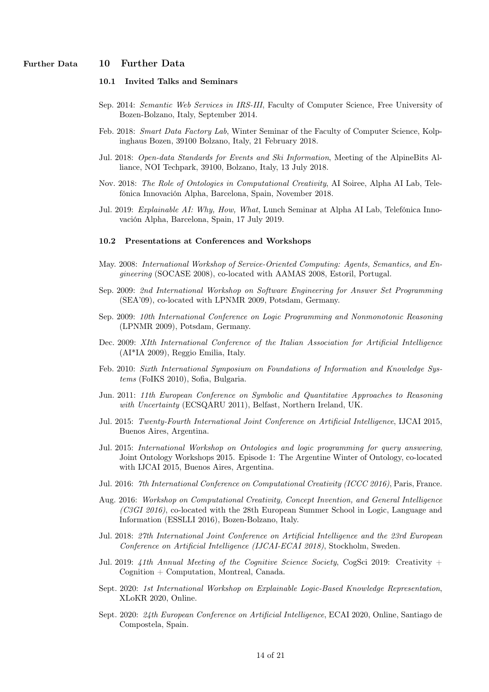# Further Data 10 Further Data

### 10.1 Invited Talks and Seminars

- Sep. 2014: Semantic Web Services in IRS-III, Faculty of Computer Science, Free University of Bozen-Bolzano, Italy, September 2014.
- Feb. 2018: Smart Data Factory Lab, Winter Seminar of the Faculty of Computer Science, Kolpinghaus Bozen, 39100 Bolzano, Italy, 21 February 2018.
- Jul. 2018: Open-data Standards for Events and Ski Information, Meeting of the AlpineBits Alliance, NOI Techpark, 39100, Bolzano, Italy, 13 July 2018.
- Nov. 2018: The Role of Ontologies in Computational Creativity, AI Soiree, Alpha AI Lab, Telefónica Innovación Alpha, Barcelona, Spain, November 2018.
- Jul. 2019: Explainable AI: Why, How, What, Lunch Seminar at Alpha AI Lab, Telefónica Innovación Alpha, Barcelona, Spain, 17 July 2019.

#### 10.2 Presentations at Conferences and Workshops

- May. 2008: International Workshop of Service-Oriented Computing: Agents, Semantics, and Engineering (SOCASE 2008), co-located with AAMAS 2008, Estoril, Portugal.
- Sep. 2009: 2nd International Workshop on Software Engineering for Answer Set Programming (SEA'09), co-located with LPNMR 2009, Potsdam, Germany.
- Sep. 2009: 10th International Conference on Logic Programming and Nonmonotonic Reasoning (LPNMR 2009), Potsdam, Germany.
- Dec. 2009: XIth International Conference of the Italian Association for Artificial Intelligence (AI\*IA 2009), Reggio Emilia, Italy.
- Feb. 2010: Sixth International Symposium on Foundations of Information and Knowledge Systems (FoIKS 2010), Sofia, Bulgaria.
- Jun. 2011: 11th European Conference on Symbolic and Quantitative Approaches to Reasoning with Uncertainty (ECSQARU 2011), Belfast, Northern Ireland, UK.
- Jul. 2015: Twenty-Fourth International Joint Conference on Artificial Intelligence, IJCAI 2015, Buenos Aires, Argentina.
- Jul. 2015: International Workshop on Ontologies and logic programming for query answering, Joint Ontology Workshops 2015. Episode 1: The Argentine Winter of Ontology, co-located with IJCAI 2015, Buenos Aires, Argentina.
- Jul. 2016: 7th International Conference on Computational Creativity (ICCC 2016), Paris, France.
- Aug. 2016: Workshop on Computational Creativity, Concept Invention, and General Intelligence (C3GI 2016), co-located with the 28th European Summer School in Logic, Language and Information (ESSLLI 2016), Bozen-Bolzano, Italy.
- Jul. 2018: 27th International Joint Conference on Artificial Intelligence and the 23rd European Conference on Artificial Intelligence (IJCAI-ECAI 2018), Stockholm, Sweden.
- Jul. 2019: 41th Annual Meeting of the Cognitive Science Society, CogSci 2019: Creativity + Cognition + Computation, Montreal, Canada.
- Sept. 2020: 1st International Workshop on Explainable Logic-Based Knowledge Representation, XLoKR 2020, Online.
- Sept. 2020: 24th European Conference on Artificial Intelligence, ECAI 2020, Online, Santiago de Compostela, Spain.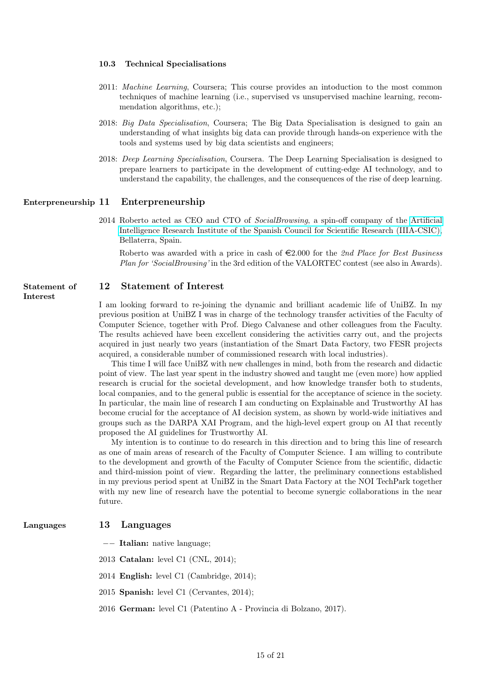#### 10.3 Technical Specialisations

- 2011: Machine Learning, Coursera; This course provides an intoduction to the most common techniques of machine learning (i.e., supervised vs unsupervised machine learning, recommendation algorithms, etc.);
- 2018: Big Data Specialisation, Coursera; The Big Data Specialisation is designed to gain an understanding of what insights big data can provide through hands-on experience with the tools and systems used by big data scientists and engineers;
- 2018: Deep Learning Specialisation, Coursera. The Deep Learning Specialisation is designed to prepare learners to participate in the development of cutting-edge AI technology, and to understand the capability, the challenges, and the consequences of the rise of deep learning.

#### Enterpreneurship 11 Enterpreneurship

2014 Roberto acted as CEO and CTO of SocialBrowsing, a spin-off company of the [Artificial](http://www.iiia.csic.es/)) [Intelligence Research Institute of the Spanish Council for Scientific Research \(IIIA-CSIC\),](http://www.iiia.csic.es/)) Bellaterra, Spain.

Roberto was awarded with a price in cash of  $\in 2.000$  for the 2nd Place for Best Business Plan for 'SocialBrowsing' in the 3rd edition of the VALORTEC contest (see also in Awards).

# Statement of 12 Statement of Interest

Interest

I am looking forward to re-joining the dynamic and brilliant academic life of UniBZ. In my previous position at UniBZ I was in charge of the technology transfer activities of the Faculty of Computer Science, together with Prof. Diego Calvanese and other colleagues from the Faculty. The results achieved have been excellent considering the activities carry out, and the projects acquired in just nearly two years (instantiation of the Smart Data Factory, two FESR projects acquired, a considerable number of commissioned research with local industries).

This time I will face UniBZ with new challenges in mind, both from the research and didactic point of view. The last year spent in the industry showed and taught me (even more) how applied research is crucial for the societal development, and how knowledge transfer both to students, local companies, and to the general public is essential for the acceptance of science in the society. In particular, the main line of research I am conducting on Explainable and Trustworthy AI has become crucial for the acceptance of AI decision system, as shown by world-wide initiatives and groups such as the DARPA XAI Program, and the high-level expert group on AI that recently proposed the AI guidelines for Trustworthy AI.

My intention is to continue to do research in this direction and to bring this line of research as one of main areas of research of the Faculty of Computer Science. I am willing to contribute to the development and growth of the Faculty of Computer Science from the scientific, didactic and third-mission point of view. Regarding the latter, the preliminary connections established in my previous period spent at UniBZ in the Smart Data Factory at the NOI TechPark together with my new line of research have the potential to become synergic collaborations in the near future.

#### Languages 13 Languages

−− Italian: native language;

2013 Catalan: level C1 (CNL, 2014);

- 2014 English: level C1 (Cambridge, 2014);
- 2015 Spanish: level C1 (Cervantes, 2014);
- 2016 German: level C1 (Patentino A Provincia di Bolzano, 2017).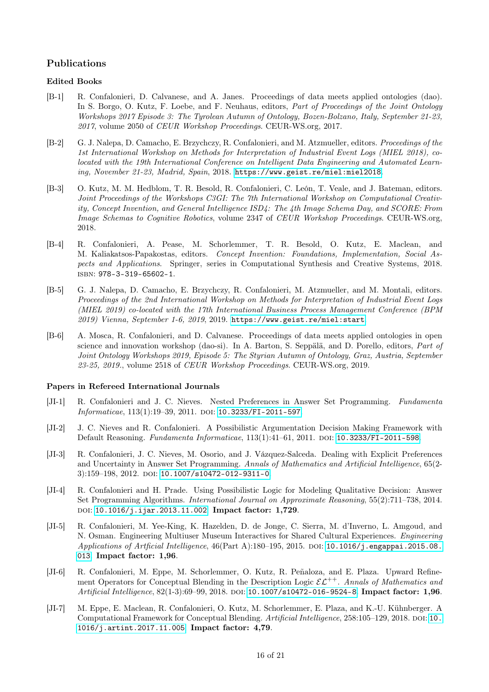# Publications

#### Edited Books

- [B-1] R. Confalonieri, D. Calvanese, and A. Janes. Proceedings of data meets applied ontologies (dao). In S. Borgo, O. Kutz, F. Loebe, and F. Neuhaus, editors, Part of Proceedings of the Joint Ontology Workshops 2017 Episode 3: The Tyrolean Autumn of Ontology, Bozen-Bolzano, Italy, September 21-23, 2017, volume 2050 of CEUR Workshop Proceedings. CEUR-WS.org, 2017.
- [B-2] G. J. Nalepa, D. Camacho, E. Brzychczy, R. Confalonieri, and M. Atzmueller, editors. Proceedings of the 1st International Workshop on Methods for Interpretation of Industrial Event Logs (MIEL 2018), colocated with the 19th International Conference on Intelligent Data Engineering and Automated Learning, November 21-23, Madrid, Spain, 2018. <https://www.geist.re/miel:miel2018>.
- [B-3] O. Kutz, M. M. Hedblom, T. R. Besold, R. Confalonieri, C. León, T. Veale, and J. Bateman, editors. Joint Proceedings of the Workshops C3GI: The 7th International Workshop on Computational Creativity, Concept Invention, and General Intelligence ISD4: The 4th Image Schema Day, and SCORE: From Image Schemas to Cognitive Robotics, volume 2347 of CEUR Workshop Proceedings. CEUR-WS.org, 2018.
- <span id="page-15-7"></span>[B-4] R. Confalonieri, A. Pease, M. Schorlemmer, T. R. Besold, O. Kutz, E. Maclean, and M. Kaliakatsos-Papakostas, editors. Concept Invention: Foundations, Implementation, Social Aspects and Applications. Springer, series in Computational Synthesis and Creative Systems, 2018. isbn: 978-3-319-65602-1.
- [B-5] G. J. Nalepa, D. Camacho, E. Brzychczy, R. Confalonieri, M. Atzmueller, and M. Montali, editors. Proceedings of the 2nd International Workshop on Methods for Interpretation of Industrial Event Logs (MIEL 2019) co-located with the 17th International Business Process Management Conference (BPM 2019) Vienna, September 1-6, 2019, 2019. <https://www.geist.re/miel:start>.
- [B-6] A. Mosca, R. Confalonieri, and D. Calvanese. Proceedings of data meets applied ontologies in open science and innovation workshop (dao-si). In A. Barton, S. Seppälä, and D. Porello, editors, Part of Joint Ontology Workshops 2019, Episode 5: The Styrian Autumn of Ontology, Graz, Austria, September 23-25, 2019., volume 2518 of CEUR Workshop Proceedings. CEUR-WS.org, 2019.

#### Papers in Refereed International Journals

- <span id="page-15-3"></span>[JI-1] R. Confalonieri and J. C. Nieves. Nested Preferences in Answer Set Programming. Fundamenta Informaticae, 113(1):19-39, 2011. DOI: [10.3233/FI-2011-597](http://dx.doi.org/10.3233/FI-2011-597).
- <span id="page-15-4"></span>[JI-2] J. C. Nieves and R. Confalonieri. A Possibilistic Argumentation Decision Making Framework with Default Reasoning. Fundamenta Informaticae, 113(1):41-61, 2011. DOI: [10.3233/FI-2011-598](http://dx.doi.org/10.3233/FI-2011-598).
- <span id="page-15-2"></span>[JI-3] R. Confalonieri, J. C. Nieves, M. Osorio, and J. Vázquez-Salceda. Dealing with Explicit Preferences and Uncertainty in Answer Set Programming. Annals of Mathematics and Artificial Intelligence, 65(2-  $3$ :159–198, 2012. doi: [10.1007/s10472-012-9311-0](http://dx.doi.org/10.1007/s10472-012-9311-0).
- <span id="page-15-5"></span>[JI-4] R. Confalonieri and H. Prade. Using Possibilistic Logic for Modeling Qualitative Decision: Answer Set Programming Algorithms. International Journal on Approximate Reasoning, 55(2):711–738, 2014. doi: [10.1016/j.ijar.2013.11.002](http://dx.doi.org/10.1016/j.ijar.2013.11.002). Impact factor: 1,729.
- <span id="page-15-6"></span>[JI-5] R. Confalonieri, M. Yee-King, K. Hazelden, D. de Jonge, C. Sierra, M. d'Inverno, L. Amgoud, and N. Osman. Engineering Multiuser Museum Interactives for Shared Cultural Experiences. Engineering Applications of Artficial Intelligence,  $46$ (Part A):180–195, 2015. DOI: [10.1016/j.engappai.2015.08.](http://dx.doi.org/10.1016/j.engappai.2015.08.013) [013](http://dx.doi.org/10.1016/j.engappai.2015.08.013). Impact factor: 1,96.
- <span id="page-15-1"></span>[JI-6] R. Confalonieri, M. Eppe, M. Schorlemmer, O. Kutz, R. Peñaloza, and E. Plaza. Upward Refinement Operators for Conceptual Blending in the Description Logic  $\mathcal{EL}^{++}$ . Annals of Mathematics and Artificial Intelligence, 82(1-3):69-99, 2018. DOI: [10.1007/s10472-016-9524-8](http://dx.doi.org/10.1007/s10472-016-9524-8). Impact factor: 1,96.
- <span id="page-15-0"></span>[JI-7] M. Eppe, E. Maclean, R. Confalonieri, O. Kutz, M. Schorlemmer, E. Plaza, and K.-U. Kühnberger. A Computational Framework for Conceptual Blending. Artificial Intelligence, 258:105–129, 2018. DOI: [10.](http://dx.doi.org/10.1016/j.artint.2017.11.005) [1016/j.artint.2017.11.005](http://dx.doi.org/10.1016/j.artint.2017.11.005). Impact factor: 4,79.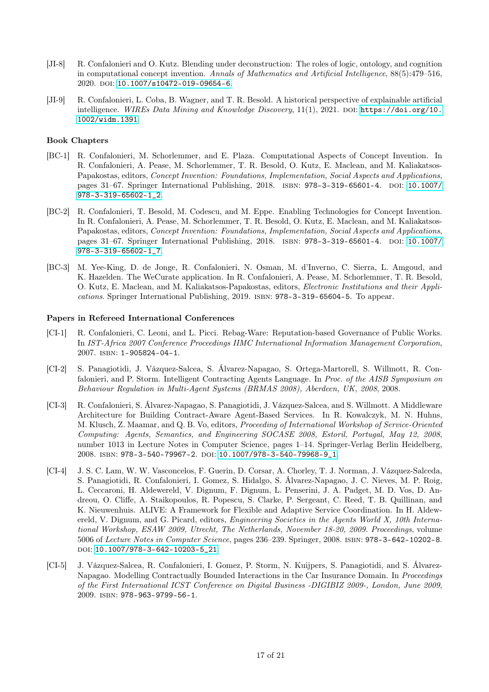- <span id="page-16-1"></span>[JI-8] R. Confalonieri and O. Kutz. Blending under deconstruction: The roles of logic, ontology, and cognition in computational concept invention. Annals of Mathematics and Artificial Intelligence, 88(5):479–516, 2020. doi: [10.1007/s10472-019-09654-6](http://dx.doi.org/10.1007/s10472-019-09654-6).
- <span id="page-16-0"></span>[JI-9] R. Confalonieri, L. Coba, B. Wagner, and T. R. Besold. A historical perspective of explainable artificial intelligence. WIREs Data Mining and Knowledge Discovery, 11(1), 2021. DOI: [https://doi.org/10.](http://dx.doi.org/https://doi.org/10.1002/widm.1391) [1002/widm.1391](http://dx.doi.org/https://doi.org/10.1002/widm.1391).

#### Book Chapters

- <span id="page-16-3"></span>[BC-1] R. Confalonieri, M. Schorlemmer, and E. Plaza. Computational Aspects of Concept Invention. In R. Confalonieri, A. Pease, M. Schorlemmer, T. R. Besold, O. Kutz, E. Maclean, and M. Kaliakatsos-Papakostas, editors, Concept Invention: Foundations, Implementation, Social Aspects and Applications, pages 31–67. Springer International Publishing, 2018. ISBN: 978-3-319-65601-4. DOI: [10.1007/](http://dx.doi.org/10.1007/978-3-319-65602-1_2) [978-3-319-65602-1\\_2](http://dx.doi.org/10.1007/978-3-319-65602-1_2).
- <span id="page-16-4"></span>[BC-2] R. Confalonieri, T. Besold, M. Codescu, and M. Eppe. Enabling Technologies for Concept Invention. In R. Confalonieri, A. Pease, M. Schorlemmer, T. R. Besold, O. Kutz, E. Maclean, and M. Kaliakatsos-Papakostas, editors, Concept Invention: Foundations, Implementation, Social Aspects and Applications, pages 31–67. Springer International Publishing, 2018. ISBN: 978-3-319-65601-4. DOI: [10.1007/](http://dx.doi.org/10.1007/978-3-319-65602-1_7) [978-3-319-65602-1\\_7](http://dx.doi.org/10.1007/978-3-319-65602-1_7).
- <span id="page-16-2"></span>[BC-3] M. Yee-King, D. de Jonge, R. Confalonieri, N. Osman, M. d'Inverno, C. Sierra, L. Amgoud, and K. Hazelden. The WeCurate application. In R. Confalonieri, A. Pease, M. Schorlemmer, T. R. Besold, O. Kutz, E. Maclean, and M. Kaliakatsos-Papakostas, editors, Electronic Institutions and their Applications. Springer International Publishing, 2019. isbn: 978-3-319-65604-5. To appear.

#### Papers in Refereed International Conferences

- [CI-1] R. Confalonieri, C. Leoni, and L. Picci. Rebag-Ware: Reputation-based Governance of Public Works. In IST-Africa 2007 Conference Proceedings IIMC International Information Management Corporation, 2007. isbn: 1-905824-04-1.
- [CI-2] S. Panagiotidi, J. Vázquez-Salcea, S. Álvarez-Napagao, S. Ortega-Martorell, S. Willmott, R. Confalonieri, and P. Storm. Intelligent Contracting Agents Language. In Proc. of the AISB Symposium on Behaviour Regulation in Multi-Agent Systems (BRMAS 2008), Aberdeen, UK, 2008, 2008.
- [CI-3] R. Confalonieri, S. Álvarez-Napagao, S. Panagiotidi, J. Vázquez-Salcea, and S. Willmott. A Middleware Architecture for Building Contract-Aware Agent-Based Services. In R. Kowalczyk, M. N. Huhns, M. Klusch, Z. Maamar, and Q. B. Vo, editors, Proceeding of International Workshop of Service-Oriented Computing: Agents, Semantics, and Engineering SOCASE 2008, Estoril, Portugal, May 12, 2008, number 1013 in Lecture Notes in Computer Science, pages 1–14. Springer-Verlag Berlin Heidelberg, 2008. isbn: 978-3-540-79967-2. doi: [10.1007/978-3-540-79968-9\\_1](http://dx.doi.org/10.1007/978-3-540-79968-9_1).
- [CI-4] J. S. C. Lam, W. W. Vasconcelos, F. Guerin, D. Corsar, A. Chorley, T. J. Norman, J. Vázquez-Salceda, S. Panagiotidi, R. Confalonieri, I. Gomez, S. Hidalgo, S. Álvarez-Napagao, J. C. Nieves, M. P. Roig, L. Ceccaroni, H. Aldewereld, V. Dignum, F. Dignum, L. Penserini, J. A. Padget, M. D. Vos, D. Andreou, O. Cliffe, A. Staikopoulos, R. Popescu, S. Clarke, P. Sergeant, C. Reed, T. B. Quillinan, and K. Nieuwenhuis. ALIVE: A Framework for Flexible and Adaptive Service Coordination. In H. Aldewereld, V. Dignum, and G. Picard, editors, *Engineering Societies in the Agents World X, 10th Interna*tional Workshop, ESAW 2009, Utrecht, The Netherlands, November 18-20, 2009. Proceedings, volume 5006 of Lecture Notes in Computer Science, pages 236–239. Springer, 2008. isbn: 978-3-642-10202-8. doi: [10.1007/978-3-642-10203-5\\_21](http://dx.doi.org/10.1007/978-3-642-10203-5_21).
- [CI-5] J. Vázquez-Salcea, R. Confalonieri, I. Gomez, P. Storm, N. Kuijpers, S. Panagiotidi, and S. Álvarez-Napagao. Modelling Contractually Bounded Interactions in the Car Insurance Domain. In Proceedings of the First International ICST Conference on Digital Business -DIGIBIZ 2009-, London, June 2009, 2009. isbn: 978-963-9799-56-1.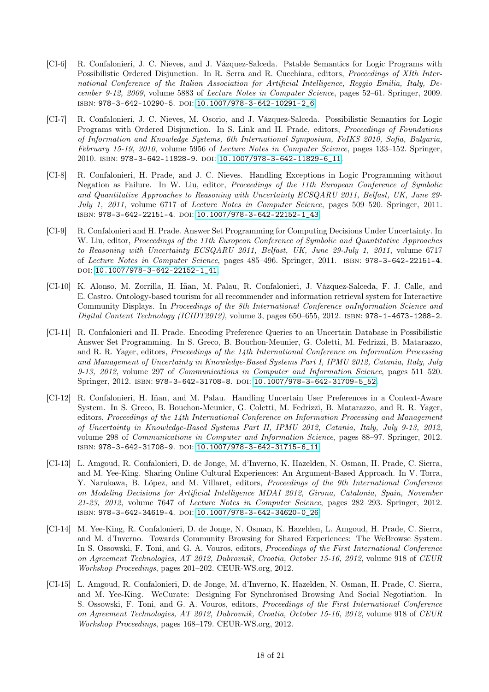- <span id="page-17-0"></span>[CI-6] R. Confalonieri, J. C. Nieves, and J. Vázquez-Salceda. Pstable Semantics for Logic Programs with Possibilistic Ordered Disjunction. In R. Serra and R. Cucchiara, editors, Proceedings of XIth International Conference of the Italian Association for Artificial Intelligence, Reggio Emilia, Italy, December 9-12, 2009, volume 5883 of Lecture Notes in Computer Science, pages 52–61. Springer, 2009. isbn: 978-3-642-10290-5. doi: [10.1007/978-3-642-10291-2\\_6](http://dx.doi.org/10.1007/978-3-642-10291-2_6).
- <span id="page-17-1"></span>[CI-7] R. Confalonieri, J. C. Nieves, M. Osorio, and J. Vázquez-Salceda. Possibilistic Semantics for Logic Programs with Ordered Disjunction. In S. Link and H. Prade, editors, Proceedings of Foundations of Information and Knowledge Systems, 6th International Symposium, FoIKS 2010, Sofia, Bulgaria, February 15-19, 2010, volume 5956 of Lecture Notes in Computer Science, pages 133–152. Springer, 2010. isbn: 978-3-642-11828-9. doi: [10.1007/978-3-642-11829-6\\_11](http://dx.doi.org/10.1007/978-3-642-11829-6_11).
- <span id="page-17-2"></span>[CI-8] R. Confalonieri, H. Prade, and J. C. Nieves. Handling Exceptions in Logic Programming without Negation as Failure. In W. Liu, editor, Proceedings of the 11th European Conference of Symbolic and Quantitative Approaches to Reasoning with Uncertainty ECSQARU 2011, Belfast, UK, June 29- July 1, 2011, volume 6717 of Lecture Notes in Computer Science, pages 509–520. Springer, 2011. isbn: 978-3-642-22151-4. doi: [10.1007/978-3-642-22152-1\\_43](http://dx.doi.org/10.1007/978-3-642-22152-1_43).
- <span id="page-17-3"></span>[CI-9] R. Confalonieri and H. Prade. Answer Set Programming for Computing Decisions Under Uncertainty. In W. Liu, editor, Proceedings of the 11th European Conference of Symbolic and Quantitative Approaches to Reasoning with Uncertainty ECSQARU 2011, Belfast, UK, June 29-July 1, 2011, volume 6717 of Lecture Notes in Computer Science, pages 485–496. Springer, 2011. isbn: 978-3-642-22151-4. DOI: [10.1007/978-3-642-22152-1\\_41](http://dx.doi.org/10.1007/978-3-642-22152-1_41).
- <span id="page-17-6"></span>[CI-10] K. Alonso, M. Zorrilla, H. Iñan, M. Palau, R. Confalonieri, J. Vázquez-Salceda, F. J. Calle, and E. Castro. Ontology-based tourism for all recommender and information retrieval system for Interactive Community Displays. In Proceedings of the 8th International Conference onInformation Science and Digital Content Technology (ICIDT2012), volume 3, pages 650–655, 2012. isbn: 978-1-4673-1288-2.
- <span id="page-17-4"></span>[CI-11] R. Confalonieri and H. Prade. Encoding Preference Queries to an Uncertain Database in Possibilistic Answer Set Programming. In S. Greco, B. Bouchon-Meunier, G. Coletti, M. Fedrizzi, B. Matarazzo, and R. R. Yager, editors, Proceedings of the 14th International Conference on Information Processing and Management of Uncertainty in Knowledge-Based Systems Part I, IPMU 2012, Catania, Italy, July 9-13, 2012, volume 297 of Communications in Computer and Information Science, pages 511–520. Springer, 2012. ISBN: 978-3-642-31708-8. DOI: [10.1007/978-3-642-31709-5\\_52](http://dx.doi.org/10.1007/978-3-642-31709-5_52).
- <span id="page-17-5"></span>[CI-12] R. Confalonieri, H. Iñan, and M. Palau. Handling Uncertain User Preferences in a Context-Aware System. In S. Greco, B. Bouchon-Meunier, G. Coletti, M. Fedrizzi, B. Matarazzo, and R. R. Yager, editors, Proceedings of the 14th International Conference on Information Processing and Management of Uncertainty in Knowledge-Based Systems Part II, IPMU 2012, Catania, Italy, July 9-13, 2012, volume 298 of Communications in Computer and Information Science, pages 88–97. Springer, 2012. isbn: 978-3-642-31708-9. doi: [10.1007/978-3-642-31715-6\\_11](http://dx.doi.org/10.1007/978-3-642-31715-6_11).
- <span id="page-17-9"></span>[CI-13] L. Amgoud, R. Confalonieri, D. de Jonge, M. d'Inverno, K. Hazelden, N. Osman, H. Prade, C. Sierra, and M. Yee-King. Sharing Online Cultural Experiences: An Argument-Based Approach. In V. Torra, Y. Narukawa, B. López, and M. Villaret, editors, Proceedings of the 9th International Conference on Modeling Decisions for Artificial Intelligence MDAI 2012, Girona, Catalonia, Spain, November 21-23, 2012, volume 7647 of Lecture Notes in Computer Science, pages 282–293. Springer, 2012. isbn: 978-3-642-34619-4. doi: [10.1007/978-3-642-34620-0\\_26](http://dx.doi.org/10.1007/978-3-642-34620-0_26).
- <span id="page-17-7"></span>[CI-14] M. Yee-King, R. Confalonieri, D. de Jonge, N. Osman, K. Hazelden, L. Amgoud, H. Prade, C. Sierra, and M. d'Inverno. Towards Community Browsing for Shared Experiences: The WeBrowse System. In S. Ossowski, F. Toni, and G. A. Vouros, editors, *Proceedings of the First International Conference* on Agreement Technologies, AT 2012, Dubrovnik, Croatia, October 15-16, 2012, volume 918 of CEUR Workshop Proceedings, pages 201–202. CEUR-WS.org, 2012.
- <span id="page-17-8"></span>[CI-15] L. Amgoud, R. Confalonieri, D. de Jonge, M. d'Inverno, K. Hazelden, N. Osman, H. Prade, C. Sierra, and M. Yee-King. WeCurate: Designing For Synchronised Browsing And Social Negotiation. In S. Ossowski, F. Toni, and G. A. Vouros, editors, Proceedings of the First International Conference on Agreement Technologies, AT 2012, Dubrovnik, Croatia, October 15-16, 2012, volume 918 of CEUR Workshop Proceedings, pages 168–179. CEUR-WS.org, 2012.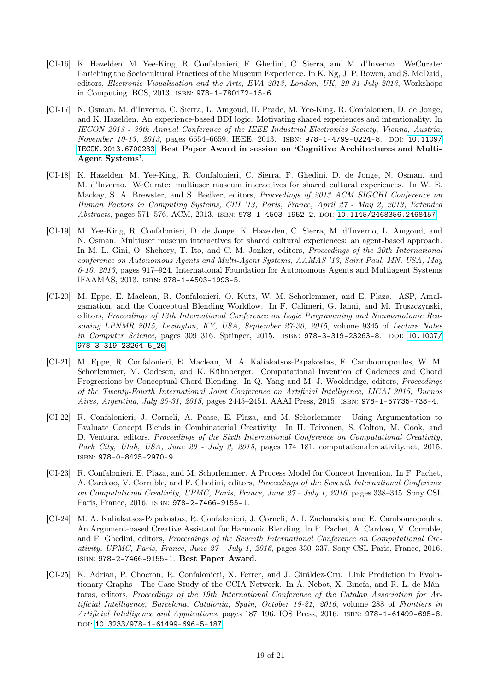- [CI-16] K. Hazelden, M. Yee-King, R. Confalonieri, F. Ghedini, C. Sierra, and M. d'Inverno. WeCurate: Enriching the Sociocultural Practices of the Museum Experience. In K. Ng, J. P. Bowen, and S. McDaid, editors, Electronic Visualisation and the Arts, EVA 2013, London, UK, 29-31 July 2013, Workshops in Computing. BCS, 2013. isbn: 978-1-780172-15-6.
- [CI-17] N. Osman, M. d'Inverno, C. Sierra, L. Amgoud, H. Prade, M. Yee-King, R. Confalonieri, D. de Jonge, and K. Hazelden. An experience-based BDI logic: Motivating shared experiences and intentionality. In IECON 2013 - 39th Annual Conference of the IEEE Industrial Electronics Society, Vienna, Austria, November 10-13, 2013, pages 6654-6659. IEEE, 2013. ISBN: 978-1-4799-0224-8. DOI: [10.1109/](http://dx.doi.org/10.1109/IECON.2013.6700233) [IECON.2013.6700233](http://dx.doi.org/10.1109/IECON.2013.6700233). Best Paper Award in session on 'Cognitive Architectures and Multi-Agent Systems'.
- <span id="page-18-4"></span>[CI-18] K. Hazelden, M. Yee-King, R. Confalonieri, C. Sierra, F. Ghedini, D. de Jonge, N. Osman, and M. d'Inverno. WeCurate: multiuser museum interactives for shared cultural experiences. In W. E. Mackay, S. A. Brewster, and S. Bødker, editors, *Proceedings of 2013 ACM SIGCHI Conference on* Human Factors in Computing Systems, CHI '13, Paris, France, April 27 - May 2, 2013, Extended Abstracts, pages 571–576. ACM, 2013. ISBN: 978-1-4503-1952-2. poi: [10.1145/2468356.2468457](http://dx.doi.org/10.1145/2468356.2468457).
- <span id="page-18-3"></span>[CI-19] M. Yee-King, R. Confalonieri, D. de Jonge, K. Hazelden, C. Sierra, M. d'Inverno, L. Amgoud, and N. Osman. Multiuser museum interactives for shared cultural experiences: an agent-based approach. In M. L. Gini, O. Shehory, T. Ito, and C. M. Jonker, editors, Proceedings of the 20th International conference on Autonomous Agents and Multi-Agent Systems, AAMAS '13, Saint Paul, MN, USA, May 6-10, 2013, pages 917–924. International Foundation for Autonomous Agents and Multiagent Systems IFAAMAS, 2013. isbn: 978-1-4503-1993-5.
- <span id="page-18-5"></span>[CI-20] M. Eppe, E. Maclean, R. Confalonieri, O. Kutz, W. M. Schorlemmer, and E. Plaza. ASP, Amalgamation, and the Conceptual Blending Workflow. In F. Calimeri, G. Ianni, and M. Truszczynski, editors, Proceedings of 13th International Conference on Logic Programming and Nonmonotonic Reasoning LPNMR 2015, Lexington, KY, USA, September 27-30, 2015, volume 9345 of Lecture Notes in Computer Science, pages 309-316. Springer, 2015. ISBN: 978-3-319-23263-8. DOI: [10.1007/](http://dx.doi.org/10.1007/978-3-319-23264-5_26) [978-3-319-23264-5\\_26](http://dx.doi.org/10.1007/978-3-319-23264-5_26).
- <span id="page-18-6"></span>[CI-21] M. Eppe, R. Confalonieri, E. Maclean, M. A. Kaliakatsos-Papakostas, E. Cambouropoulos, W. M. Schorlemmer, M. Codescu, and K. Kühnberger. Computational Invention of Cadences and Chord Progressions by Conceptual Chord-Blending. In Q. Yang and M. J. Wooldridge, editors, Proceedings of the Twenty-Fourth International Joint Conference on Artificial Intelligence, IJCAI 2015, Buenos Aires, Argentina, July 25-31, 2015, pages 2445–2451. AAAI Press, 2015. isbn: 978-1-57735-738-4.
- <span id="page-18-1"></span>[CI-22] R. Confalonieri, J. Corneli, A. Pease, E. Plaza, and M. Schorlemmer. Using Argumentation to Evaluate Concept Blends in Combinatorial Creativity. In H. Toivonen, S. Colton, M. Cook, and D. Ventura, editors, Proceedings of the Sixth International Conference on Computational Creativity, Park City, Utah, USA, June 29 - July 2, 2015, pages 174–181. computationalcreativity.net, 2015. isbn: 978-0-8425-2970-9.
- <span id="page-18-0"></span>[CI-23] R. Confalonieri, E. Plaza, and M. Schorlemmer. A Process Model for Concept Invention. In F. Pachet, A. Cardoso, V. Corruble, and F. Ghedini, editors, Proceedings of the Seventh International Conference on Computational Creativity, UPMC, Paris, France, June 27 - July 1, 2016, pages 338–345. Sony CSL Paris, France, 2016. isbn: 978-2-7466-9155-1.
- <span id="page-18-2"></span>[CI-24] M. A. Kaliakatsos-Papakostas, R. Confalonieri, J. Corneli, A. I. Zacharakis, and E. Cambouropoulos. An Argument-based Creative Assistant for Harmonic Blending. In F. Pachet, A. Cardoso, V. Corruble, and F. Ghedini, editors, Proceedings of the Seventh International Conference on Computational Creativity, UPMC, Paris, France, June 27 - July 1, 2016, pages 330–337. Sony CSL Paris, France, 2016. isbn: 978-2-7466-9155-1. Best Paper Award.
- [CI-25] K. Adrian, P. Chocron, R. Confalonieri, X. Ferrer, and J. Giráldez-Cru. Link Prediction in Evolutionary Graphs - The Case Study of the CCIA Network. In À. Nebot, X. Binefa, and R. L. de Mántaras, editors, Proceedings of the 19th International Conference of the Catalan Association for Artificial Intelligence, Barcelona, Catalonia, Spain, October 19-21, 2016, volume 288 of Frontiers in Artificial Intelligence and Applications, pages 187–196. IOS Press, 2016. isbn: 978-1-61499-695-8. DOI: [10.3233/978-1-61499-696-5-187](http://dx.doi.org/10.3233/978-1-61499-696-5-187).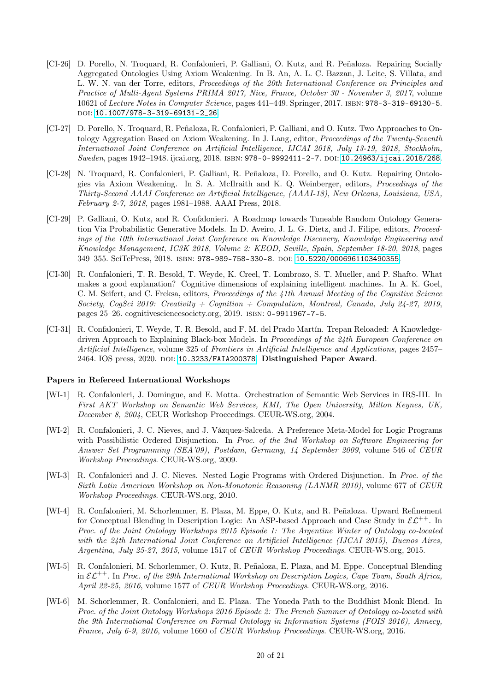- <span id="page-19-3"></span>[CI-26] D. Porello, N. Troquard, R. Confalonieri, P. Galliani, O. Kutz, and R. Peñaloza. Repairing Socially Aggregated Ontologies Using Axiom Weakening. In B. An, A. L. C. Bazzan, J. Leite, S. Villata, and L. W. N. van der Torre, editors, Proceedings of the 20th International Conference on Principles and Practice of Multi-Agent Systems PRIMA 2017, Nice, France, October 30 - November 3, 2017, volume 10621 of Lecture Notes in Computer Science, pages 441–449. Springer, 2017. isbn: 978-3-319-69130-5. doi: [10.1007/978-3-319-69131-2\\_26](http://dx.doi.org/10.1007/978-3-319-69131-2_26).
- <span id="page-19-4"></span>[CI-27] D. Porello, N. Troquard, R. Peñaloza, R. Confalonieri, P. Galliani, and O. Kutz. Two Approaches to Ontology Aggregation Based on Axiom Weakening. In J. Lang, editor, *Proceedings of the Twenty-Seventh* International Joint Conference on Artificial Intelligence, IJCAI 2018, July 13-19, 2018, Stockholm, Sweden, pages 1942–1948. ijcai.org, 2018. ISBN: 978-0-9992411-2-7. DOI: [10.24963/ijcai.2018/268](http://dx.doi.org/10.24963/ijcai.2018/268).
- <span id="page-19-5"></span>[CI-28] N. Troquard, R. Confalonieri, P. Galliani, R. Peñaloza, D. Porello, and O. Kutz. Repairing Ontologies via Axiom Weakening. In S. A. McIlraith and K. Q. Weinberger, editors, Proceedings of the Thirty-Second AAAI Conference on Artificial Intelligence, (AAAI-18), New Orleans, Louisiana, USA, February 2-7, 2018, pages 1981–1988. AAAI Press, 2018.
- [CI-29] P. Galliani, O. Kutz, and R. Confalonieri. A Roadmap towards Tuneable Random Ontology Generation Via Probabilistic Generative Models. In D. Aveiro, J. L. G. Dietz, and J. Filipe, editors, Proceedings of the 10th International Joint Conference on Knowledge Discovery, Knowledge Engineering and Knowledge Management, IC3K 2018, Volume 2: KEOD, Seville, Spain, September 18-20, 2018, pages 349–355. SciTePress, 2018. isbn: 978-989-758-330-8. doi: [10.5220/0006961103490355](http://dx.doi.org/10.5220/0006961103490355).
- <span id="page-19-1"></span>[CI-30] R. Confalonieri, T. R. Besold, T. Weyde, K. Creel, T. Lombrozo, S. T. Mueller, and P. Shafto. What makes a good explanation? Cognitive dimensions of explaining intelligent machines. In A. K. Goel, C. M. Seifert, and C. Freksa, editors, Proceedings of the 41th Annual Meeting of the Cognitive Science Society, CogSci 2019: Creativity + Cognition + Computation, Montreal, Canada, July 24-27, 2019, pages 25–26. cognitivesciencesociety.org, 2019. isbn: 0-9911967-7-5.
- <span id="page-19-0"></span>[CI-31] R. Confalonieri, T. Weyde, T. R. Besold, and F. M. del Prado Martín. Trepan Reloaded: A Knowledgedriven Approach to Explaining Black-box Models. In Proceedings of the 24th European Conference on Artificial Intelligence, volume 325 of Frontiers in Artificial Intelligence and Applications, pages 2457– 2464. IOS press, 2020. doi: [10.3233/FAIA200378](http://dx.doi.org/10.3233/FAIA200378). Distinguished Paper Award.

#### Papers in Refereed International Workshops

- [WI-1] R. Confalonieri, J. Domingue, and E. Motta. Orchestration of Semantic Web Services in IRS-III. In First AKT Workshop on Semantic Web Services, KMI, The Open University, Milton Keynes, UK, December 8, 2004, CEUR Workshop Proceedings. CEUR-WS.org, 2004.
- [WI-2] R. Confalonieri, J. C. Nieves, and J. Vázquez-Salceda. A Preference Meta-Model for Logic Programs with Possibilistic Ordered Disjunction. In Proc. of the 2nd Workshop on Software Engineering for Answer Set Programming (SEA'09), Postdam, Germany, 14 September 2009, volume 546 of CEUR Workshop Proceedings. CEUR-WS.org, 2009.
- <span id="page-19-6"></span>[WI-3] R. Confalonieri and J. C. Nieves. Nested Logic Programs with Ordered Disjunction. In Proc. of the Sixth Latin American Workshop on Non-Monotonic Reasoning (LANMR 2010), volume 677 of CEUR Workshop Proceedings. CEUR-WS.org, 2010.
- [WI-4] R. Confalonieri, M. Schorlemmer, E. Plaza, M. Eppe, O. Kutz, and R. Peñaloza. Upward Refinement for Conceptual Blending in Description Logic: An ASP-based Approach and Case Study in  $\mathcal{EL}^{++}$ . In Proc. of the Joint Ontology Workshops 2015 Episode 1: The Argentine Winter of Ontology co-located with the 24th International Joint Conference on Artificial Intelligence (IJCAI 2015), Buenos Aires, Argentina, July 25-27, 2015, volume 1517 of CEUR Workshop Proceedings. CEUR-WS.org, 2015.
- <span id="page-19-2"></span>[WI-5] R. Confalonieri, M. Schorlemmer, O. Kutz, R. Peñaloza, E. Plaza, and M. Eppe. Conceptual Blending in  $\mathcal{EL}^{++}$ . In Proc. of the 29th International Workshop on Description Logics, Cape Town, South Africa, April 22-25, 2016, volume 1577 of CEUR Workshop Proceedings. CEUR-WS.org, 2016.
- [WI-6] M. Schorlemmer, R. Confalonieri, and E. Plaza. The Yoneda Path to the Buddhist Monk Blend. In Proc. of the Joint Ontology Workshops 2016 Episode 2: The French Summer of Ontology co-located with the 9th International Conference on Formal Ontology in Information Systems (FOIS 2016), Annecy, France, July 6-9, 2016, volume 1660 of CEUR Workshop Proceedings. CEUR-WS.org, 2016.